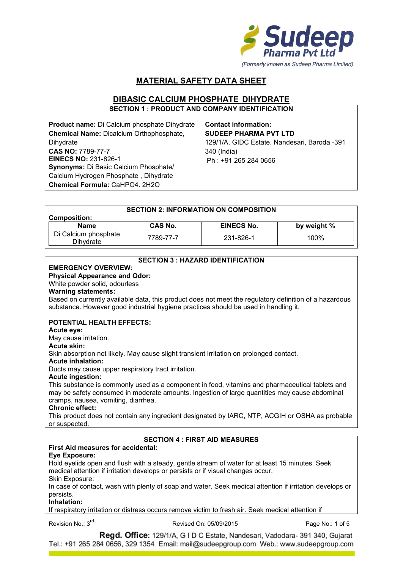

# **MATERIAL SAFETY DATA SHEET**

# **DIBASIC CALCIUM PHOSPHATE DIHYDRATE**

**SECTION 1 : PRODUCT AND COMPANY IDENTIFICATION**

**Product name:** Di Calcium phosphate Dihydrate **Chemical Name:** Dicalcium Orthophosphate, **Dihydrate CAS NO:** 7789-77-7 **EINECS NO:** 231-826-1 **Synonyms:** Di Basic Calcium Phosphate/ Calcium Hydrogen Phosphate , Dihydrate **Chemical Formula:** CaHPO4. 2H2O

**Contact information: SUDEEP PHARMA PVT LTD** 129/1/A, GIDC Estate, Nandesari, Baroda -391 340 (India) Ph : +91 265 284 0656

| <b>SECTION 2: INFORMATION ON COMPOSITION</b> |           |                   |             |
|----------------------------------------------|-----------|-------------------|-------------|
| <b>Composition:</b>                          |           |                   |             |
| <b>Name</b>                                  | CAS No.   | <b>EINECS No.</b> | by weight % |
| Di Calcium phosphate<br>Dihvdrate            | 7789-77-7 | 231-826-1         | 100%        |

| <b>SECTION 3 : HAZARD IDENTIFICATION</b>                                                                                                                                                      |
|-----------------------------------------------------------------------------------------------------------------------------------------------------------------------------------------------|
| <b>EMERGENCY OVERVIEW:</b>                                                                                                                                                                    |
| <b>Physical Appearance and Odor:</b>                                                                                                                                                          |
| White powder solid, odourless                                                                                                                                                                 |
| <b>Warning statements:</b>                                                                                                                                                                    |
| Based on currently available data, this product does not meet the regulatory definition of a hazardous<br>substance. However good industrial hygiene practices should be used in handling it. |
|                                                                                                                                                                                               |
| <b>POTENTIAL HEALTH EFFECTS:</b>                                                                                                                                                              |
| Acute eye:                                                                                                                                                                                    |
| May cause irritation.                                                                                                                                                                         |
| <b>Acute skin:</b>                                                                                                                                                                            |
| Skin absorption not likely. May cause slight transient irritation on prolonged contact.                                                                                                       |
| <b>Acute inhalation:</b>                                                                                                                                                                      |
| Ducts may cause upper respiratory tract irritation.                                                                                                                                           |
| <b>Acute ingestion:</b>                                                                                                                                                                       |
| This substance is commonly used as a component in food, vitamins and pharmaceutical tablets and                                                                                               |
| may be safety consumed in moderate amounts. Ingestion of large quantities may cause abdominal                                                                                                 |
| cramps, nausea, vomiting, diarrhea.                                                                                                                                                           |
| <b>Chronic effect:</b>                                                                                                                                                                        |
| This product does not contain any ingredient designated by IARC, NTP, ACGIH or OSHA as probable                                                                                               |
| or suspected.                                                                                                                                                                                 |
|                                                                                                                                                                                               |
| <b>SECTION 4 : FIRST AID MEASURES</b>                                                                                                                                                         |
| First Aid measures for accidental:                                                                                                                                                            |
| <b>Eye Exposure:</b>                                                                                                                                                                          |
| Hold eyelids open and flush with a steady, gentle stream of water for at least 15 minutes. Seek                                                                                               |
| medical attention if irritation develops or persists or if visual changes occur.                                                                                                              |
| Skin Exposure:                                                                                                                                                                                |
| In case of contact, wash with plenty of soap and water. Seek medical attention if irritation develops or                                                                                      |
| persists.                                                                                                                                                                                     |
| Inhalation:                                                                                                                                                                                   |
| If respiratory irritation or distress occurs remove victim to fresh air. Seek medical attention if                                                                                            |
| Revision No.: 3 <sup>rd</sup><br>Revised On: 05/09/2015<br>Page No.: 1 of 5                                                                                                                   |

Revision No.: 3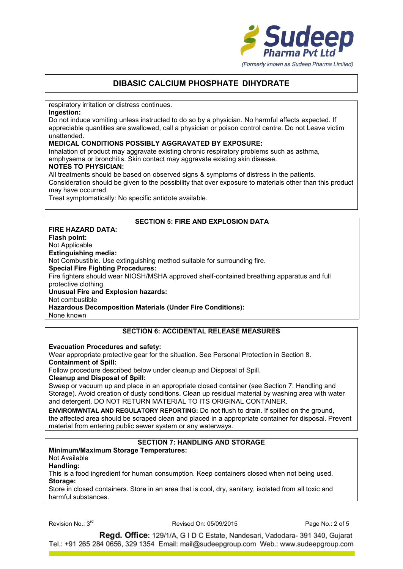

respiratory irritation or distress continues.

## **Ingestion:**

Do not induce vomiting unless instructed to do so by a physician. No harmful affects expected. If appreciable quantities are swallowed, call a physician or poison control centre. Do not Leave victim unattended.

### **MEDICAL CONDITIONS POSSIBLY AGGRAVATED BY EXPOSURE:**

Inhalation of product may aggravate existing chronic respiratory problems such as asthma, emphysema or bronchitis. Skin contact may aggravate existing skin disease.

#### **NOTES TO PHYSICIAN:**

All treatments should be based on observed signs & symptoms of distress in the patients. Consideration should be given to the possibility that over exposure to materials other than this product may have occurred.

Treat symptomatically: No specific antidote available.

## **SECTION 5: FIRE AND EXPLOSION DATA**

#### **FIRE HAZARD DATA: Flash point:** Not Applicable **Extinguishing media:** Not Combustible. Use extinguishing method suitable for surrounding fire. **Special Fire Fighting Procedures:** Fire fighters should wear NIOSH/MSHA approved shelf-contained breathing apparatus and full protective clothing. **Unusual Fire and Explosion hazards:** Not combustible **Hazardous Decomposition Materials (Under Fire Conditions):**

None known

## **SECTION 6: ACCIDENTAL RELEASE MEASURES**

**Evacuation Procedures and safety:**

Wear appropriate protective gear for the situation. See Personal Protection in Section 8.

**Containment of Spill:**

Follow procedure described below under cleanup and Disposal of Spill.

**Cleanup and Disposal of Spill:**

Sweep or vacuum up and place in an appropriate closed container (see Section 7: Handling and Storage). Avoid creation of dusty conditions. Clean up residual material by washing area with water and detergent. DO NOT RETURN MATERIAL TO ITS ORIGINAL CONTAINER.

**ENVIROMWNTAL AND REGULATORY REPORTING:** Do not flush to drain. If spilled on the ground, the affected area should be scraped clean and placed in a appropriate container for disposal. Prevent material from entering public sewer system or any waterways.

## **SECTION 7: HANDLING AND STORAGE**

### **Minimum/Maximum Storage Temperatures:**

Not Available

**Handling:**

This is a food ingredient for human consumption. Keep containers closed when not being used. **Storage:**

Store in closed containers. Store in an area that is cool, dry, sanitary, isolated from all toxic and harmful substances.

Revision No.: 3<sup>rd</sup>

rd Revised On: 05/09/2015 Page No.: 2 of 5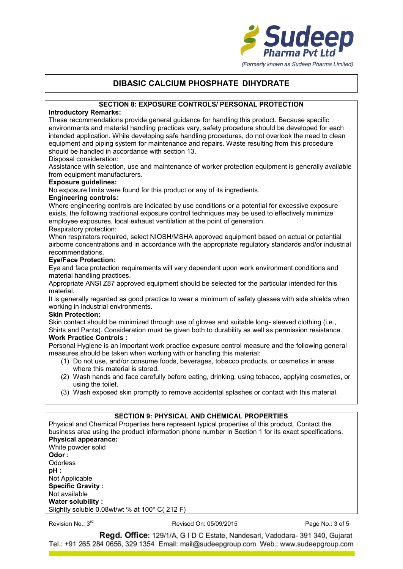

### **SECTION 8: EXPOSURE CONTROLS/ PERSONAL PROTECTION**

## **Introductory Remarks:**

These recommendations provide general guidance for handling this product. Because specific environments and material handling practices vary, safety procedure should be developed for each intended application. While developing safe handling procedures, do not overlook the need to clean equipment and piping system for maintenance and repairs. Waste resulting from this procedure should be handled in accordance with section 13.

#### Disposal consideration:

Assistance with selection, use and maintenance of worker protection equipment is generally available from equipment manufacturers.

#### **Exposure guidelines:**

No exposure limits were found for this product or any of its ingredients.

#### **Engineering controls:**

Where engineering controls are indicated by use conditions or a potential for excessive exposure exists, the following traditional exposure control techniques may be used to effectively minimize employee exposures, local exhaust ventilation at the point of generation.

#### Respiratory protection:

When respirators required, select NIOSH/MSHA approved equipment based on actual or potential airborne concentrations and in accordance with the appropriate regulatory standards and/or industrial recommendations.

### **Eye/Face Protection:**

Eye and face protection requirements will vary dependent upon work environment conditions and material handling practices.

Appropriate ANSI Z87 approved equipment should be selected for the particular intended for this material.

It is generally regarded as good practice to wear a minimum of safety glasses with side shields when working in industrial environments.

#### **Skin Protection:**

Skin contact should be minimized through use of gloves and suitable long- sleeved clothing (i.e., Shirts and Pants). Consideration must be given both to durability as well as permission resistance.

### **Work Practice Controls :**

Personal Hygiene is an important work practice exposure control measure and the following general measures should be taken when working with or handling this material:

- (1) Do not use, and/or consume foods, beverages, tobacco products, or cosmetics in areas where this material is stored.
- (2) Wash hands and face carefully before eating, drinking, using tobacco, applying cosmetics, or using the toilet.
- (3) Wash exposed skin promptly to remove accidental splashes or contact with this material.

## **SECTION 9: PHYSICAL AND CHEMICAL PROPERTIES**

Physical and Chemical Properties here represent typical properties of this product. Contact the business area using the product information phone number in Section 1 for its exact specifications. **Physical appearance:** White powder solid **Odor : Odorless pH :** Not Applicable **Specific Gravity :** Not available

**Water solubility :** Slightly soluble 0.08wt/wt % at 100° C( 212 F)

### Revision No.: 3<sup>rd</sup>

rd Revised On: 05/09/2015 Page No.: 3 of 5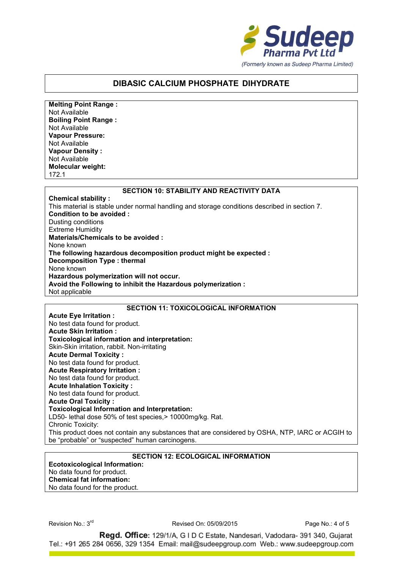

**Melting Point Range :** Not Available **Boiling Point Range :** Not Available **Vapour Pressure:** Not Available **Vapour Density :** Not Available **Molecular weight:** 172.1

#### **SECTION 10: STABILITY AND REACTIVITY DATA**

**Chemical stability :** This material is stable under normal handling and storage conditions described in section 7. **Condition to be avoided :** Dusting conditions Extreme Humidity **Materials/Chemicals to be avoided :** None known **The following hazardous decomposition product might be expected : Decomposition Type : thermal** None known **Hazardous polymerization will not occur. Avoid the Following to inhibit the Hazardous polymerization :** Not applicable

### **SECTION 11: TOXICOLOGICAL INFORMATION**

**Acute Eye Irritation :** No test data found for product. **Acute Skin Irritation : Toxicological information and interpretation:** Skin-Skin irritation, rabbit. Non-irritating **Acute Dermal Toxicity :** No test data found for product. **Acute Respiratory Irritation :** No test data found for product. **Acute Inhalation Toxicity :** No test data found for product. **Acute Oral Toxicity : Toxicological Information and Interpretation:** LD50- lethal dose 50% of test species, > 10000mg/kg. Rat. Chronic Toxicity: This product does not contain any substances that are considered by OSHA, NTP, IARC or ACGIH to be "probable" or "suspected" human carcinogens.

## **SECTION 12: ECOLOGICAL INFORMATION**

**Ecotoxicological Information:** No data found for product. **Chemical fat information:** No data found for the product.

Revision No.: 3<sup>rd</sup>

rd Revised On: 05/09/2015 Page No.: 4 of 5